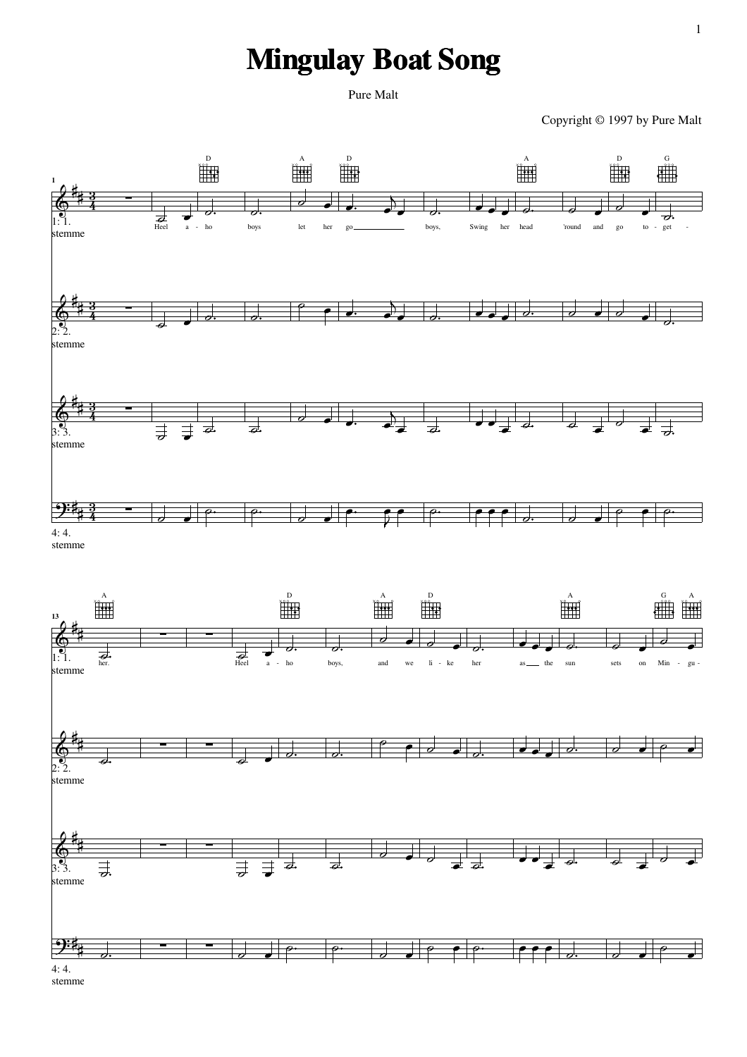## **Mingulay Boat Song**

Pure Malt

Copyright © 1997 by Pure Malt





4: 4. stemme

1